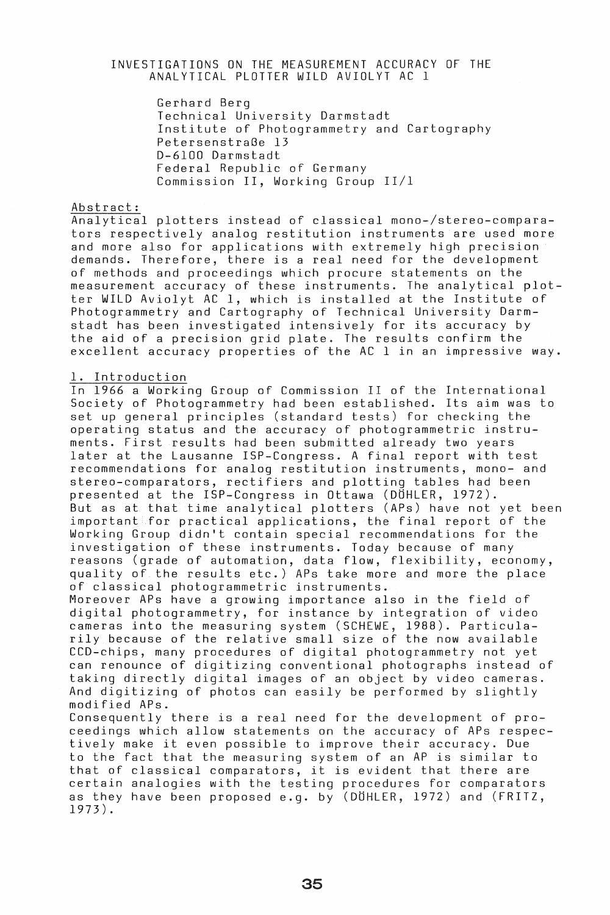### INVESTIGATIONS ON THE MEASUREMENT ACCURACY OF THE ANALYTICAL PLOTTER WILD AVIOlYT AC 1

Gerhard Berg Technical University Darmstadt Institute of Photogrammetry and Cartography PetersenstraGe 13 D-6100 Darmstadt Federal Republic of Germany Commission II, Working Group *11/1* 

# Abstract:

Analytical plotters instead of classical mono-/stereo-comparators respectively analog restitution instruments are used more and more also for applications with extremely high precision demands. Therefore, there is a real need for the development of methods and proceedings which procure statements on the measurement accuracy of these instruments. The analytical plotter WILD Aviolyt AC 1, which is installed at the Institute of Photogrammetry and Cartography of Technical University Darmstadt has been investigated intensively for its accuracy by the aid of a precision grid plate. The results confirm the excellent accuracy properties of the AC 1 in an impressive way.

#### 1. Introduction

In 1966 a Working Group of Commission II of the International Society of Photogrammetry had been established. Its aim was to set up general principles (standard tests) for checking the operating status and the accuracy of photogrammetric instruments. First results had been submitted already two years later at the lausanne ISP-Congress. A final report with test recommendations for analog restitution instruments, mono- and stereo-comparators, rectifiers and plotting tables had been presented at the ISP-Congress in Ottawa (DOHlER, 1972). But as at that time analytical plotters (APs) have not yet been important for practical applications, the final report of the Working Group didn't contain special recommendations for the investigation of these instruments. Today because of many reasons (grade of automation, data flow, flexibility, economy, quality of the results etc.) APs take more and more the place of classical photogrammetric instruments.

Moreover APs have a growing importance also in the field of digital photogrammetry, for instance by integration of video cameras into the measuring system (SCHEWE, 1988). Particularily because of the relative small size of the now available CCD-chips, many procedures of digital photogrammetry not yet can renounce of digitizing conventional photographs instead of taking directly digital images of an object by video cameras. And digitizing of photos can easily be performed by slightly modified APs.

Consequently there is a real need for the development of proceedings which allow statements on the accuracy of APs respectively make it even possible to improve their accuracy. Due to the fact that the measuring system of an AP is similar to that of classical comparators, it is evident that there are certain analogies with the testing procedures for comparators as they have been proposed e.g. by (DOHlER, 1972) and (FRITZ, 1973).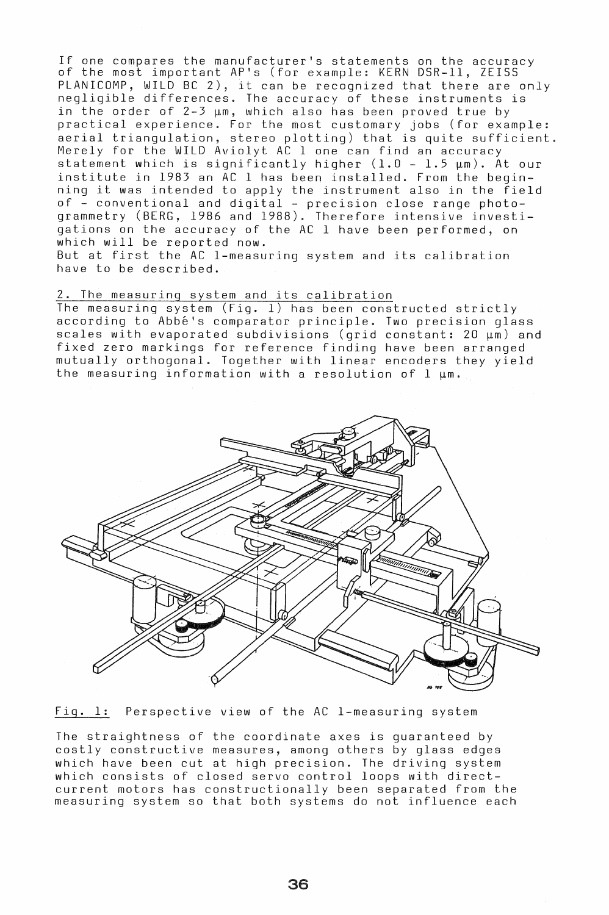If one compares the manufacturer's statements on the accuracy of the most important AP's (for example: KERN DSR-ll, ZEISS PLANICOMP, WILD BC 2), it can be recognized that there are only negligible differences. The accuracy of these instruments is in the order of  $2-3 \mu m$ , which also has been proved true by practical experience. For the most customary jobs (for example: aerial triangulation, stereo plotting) that is quite sufficient. Merely for the WILD Aviolyt AC lone can find an accuracy  $\frac{1}{2}$  is the measure  $\frac{1}{2}$  in the same same find an assumed  $\frac{1}{2}$  our institute in 1983 an AC 1 has been installed. From the beginning it was intended to apply the instrument also in the field of - conventional and digital - precision close range photogrammetry (BERG, 1986 and 1988). Therefore intensive investigations on the accuracy of the AC 1 have been performed, on which will be reported now.

But at first the AC I-measuring system and its calibration have to be described.

#### 2. The measuring system and its calibration

The measuring system (Fig. 1) has been constructed strictly according to Abbe's comparator principle. Two precision glass scales with evaporated subdivisions (grid constant: 20  $\mu$ m) and fixed zero markings for reference finding have been arranged mutually orthogonal. Together with linear encoders they yield the measuring information with a resolution of  $l \cdot \mu m$ .



Fig. 1: Perspective view of the AC I-measuring system

The straightness of the coordinate axes is guaranteed by costly constructive measures, among others by glass edges which have been cut at high precision. The driving system which have been eas as high prosidion. The directing system current motors has constructionally been separated from the measuring system so that both systems do not influence each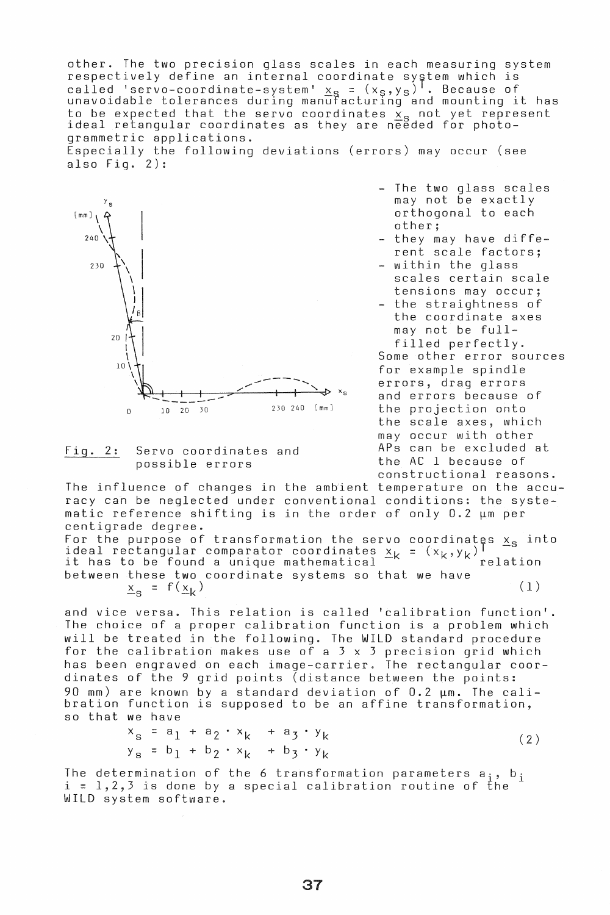other. The two precision glass scales in each measuring system respectively define an internal coordinate system which is called 'servo-coordinate-system' x<sub>S</sub> = (x<sub>S</sub>,y<sub>S</sub>)<sup>T</sup>. Because of<br>unavoidable tolerances during manufacturing and mounting it has to be expected that the servo coordinates  $\frac{x_{\rm S}}{x_{\rm S}}$  not yet represent ideal retangular coordinates as they are needed for photogrammetric applications.

Especially the following deviations (errors) may occur (see also  $Fig. 2):$ 





The two glass scales may not be exactly orthogonal to each other;

- they may have different scale factors;
- within the glass scales certain scale tensions may occur;
- the straightness of the coordinate axes may not be fullfilled perfectly.

Some other error sources for example spindle errors, drag errors and errors because of the projection onto the scale axes, which may occur with other<br>APs can be excluded at Fig. 2: APs can be excluded at Servo coordinates and the AC 1 because of constructional reasons.

the influence of changes in the ambient temperature on the accuracy can be neglected under conventional conditions: the systeracy can be negrected ander convencionar condicioner end by:<br>matic reference shifting is in the order of only 0.2  $\mu$ m per centigrade degree.

For the purpose of transformation the servo coordinates  $x_{s}$  into ideal rectangular comparator coordinates  $x_k = (x_k, y_k)^\top$  - it has to be found a unique mathematical  $x_k = (x_k, y_k)^\top$ between these two coordinate systems so that we have  $x_{s} = f(\underline{x}_{k})$  (1)

and vice versa. This relation is called 'calibration function'. The choice of a proper calibration function is a problem which will be treated in the following. The WILD standard procedure for the calibration makes use of a 3 x 3 precision grid which has been engraved on each image-carrier. The rectangular coordinates of the 9 grid points (distance between the points: 90 mm) are known by a standard deviation of  $0.2 ~\mu$ m. The calibration function is supposed to be an affine transformation, so that we have

$$
x_{s} = a_{1} + a_{2} \cdot x_{k} + a_{3} \cdot y_{k}
$$
  
\n
$$
y_{s} = b_{1} + b_{2} \cdot x_{k} + b_{3} \cdot y_{k}
$$
 (2)

The determination of the 6 transformation parameters  $a_i$ ,  $b_i$  i = 1,2,3 is done by a special calibration routine of the WILD system software.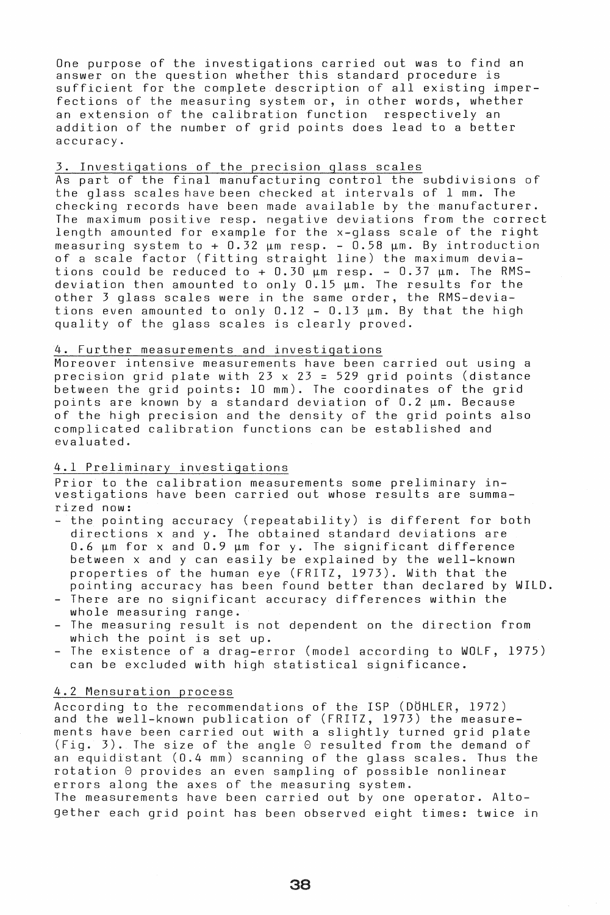One purpose of the investigations carried out was to find an answer on the question whether this standard procedure is sufficient for the complete description of all existing imperfections of the measuring system or, in other words, whether an extension of the calibration function respectively an addition of the number of grid points does lead to a better accuracy.

### 3. Investigations of the precision glass scales

As part of the final manufacturing control the subdivisions of the glass scales have been checked at intervals of 1 mm. The checking records have been made available by the manufacturer. The maximum positive resp. negative deviations from the correct length amounted for example for the x-glass scale of the right measuring system to +  $0.32 ~\mu$ m resp. -  $0.58 ~\mu$ m. By introduction of a scale factor (fitting straight line) the maximum deviations could be reduced to  $+$  0.30  $\mu$ m resp. - 0.37  $\mu$ m. The RMSdeviation then amounted to only  $0.15 ~\mu$ m. The results for the other 3 glass scales were in the same order, the RMS-deviations even amounted to only  $0.12$  -  $0.13$   $\mu$ m. By that the high quality of the glass scales is clearly proved.

#### 4. Further measurements and investigations

Moreover intensive measurements have been carried out using a precision grid plate with  $23 \times 23 = 529$  grid points (distance between the grid points: 10 mm). The coordinates of the grid points are known by a standard deviation of 0.2 um. Because of the high precision and the density of the grid points also complicated calibration functions can be established and evaluated.

## 4.1 Preliminary investigations

Prior to the calibration measurements some preliminary investigations have been carried out whose results are summarized now:

- the pointing accuracy (repeatability) is different for both directions x and y. The obtained standard deviations are  $0.6 ~\mu$ m for x and  $0.9 ~\mu$ m for y. The significant difference between x and y can easily be explained by the well-known properties of the human eye (FRITZ, 1973). With that the pointing accuracy has been found better than declared by WILD.
- There are no significant accuracy differences within the whole measuring range.
- The measuring result is not dependent on the direction from which the point is set up.
- The existence of a drag-error (model according to WOLF, 1975) can be excluded with high statistical significance.

### 4.2 Mensuration process

According to the recommendations of the ISP (DÖHLER, 1972) and the well-known publication of (FRITZ, 1973) the measurements have been carried out with a slightly turned grid plate (Fig. 3). The size of the angle  $\Theta$  resulted from the demand of an equidistant (0.4 mm) scanning of the glass scales. Thus the  $rotation$   $\Theta$  provides an even sampling of possible nonlinear errors along the axes of the measuring system. The measurements have been carried out by one operator. Altogether each grid point has been observed eight times: twice in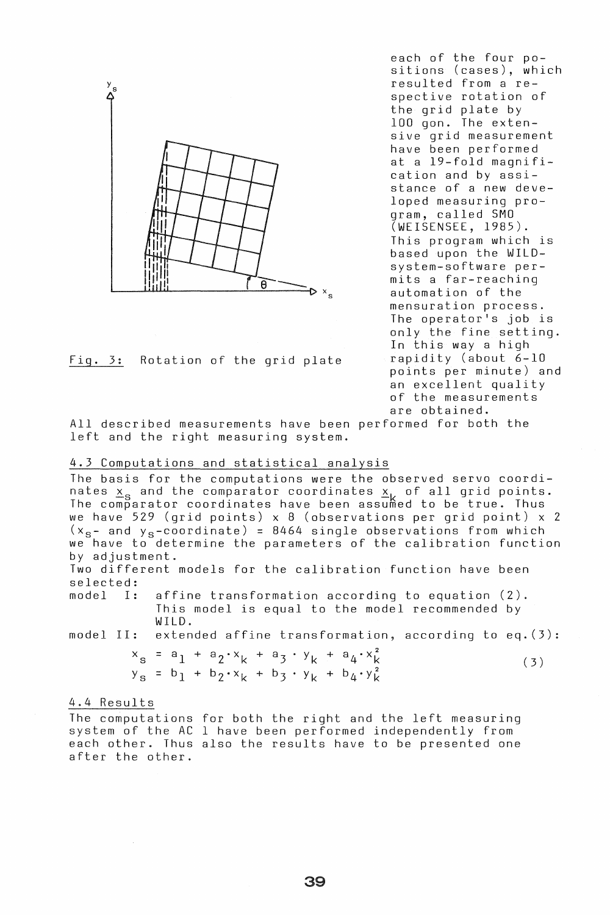

Fig. 3: Rotation of the grid plate

each of the four positions (cases), which resulted from a respective rotation of the grid plate by 100 gon. The extensive grid measurement have been performed at a 19-fold magnification and by assistance of a new developed measuring program, called SMO (WEISENSEE, 1985). This program which is based upon the WILDsystem-software permits a far-reaching automation of the mensuration process. The operator's job is only the fine setting. In this way a high rapidity (about 6-10 points per minute) and an excellent quality of the measurements are obtained.

All described measurements have been performed for both the left and the right measuring system.

### 4.3 Computations and statistical analysis

The basis for the computations were the observed servo coordinates  $x_{\rm s}$  and the comparator coordinates  $x_{\rm i}$  of all grid points. The comparator coordinates have been assumed to be true. Thus we have 529 (grid points) x 8 (observations per grid point) x 2  $(x_{s}$  and  $y_{s}$ -coordinate) = 8464 single observations from which we have to determine the parameters of the calibration function by adjustment.

Two different models for the calibration function have been selected:<br>model I:

model I: affine transformation according to equation (2). This model is equal to the model recommended by WILD.

model II: extended affine transformation, according to eq. (3):

 $x_{s} = a_{1} + a_{2} \cdot x_{k} + a_{3} \cdot y_{k} + a_{4} \cdot x_{k}^{2}$  (3)  $y_{s}$  = b<sub>1</sub> + b<sub>2</sub> · x<sub>k</sub> + b<sub>3</sub> · y<sub>k</sub> + b<sub>4</sub> · y<sub>k</sub><sup>2</sup></sup>

#### 4.4 Results

The computations for both the right and the left measuring system of the AC 1 have been performed independently from each other. Thus also the results have to be presented one after the other.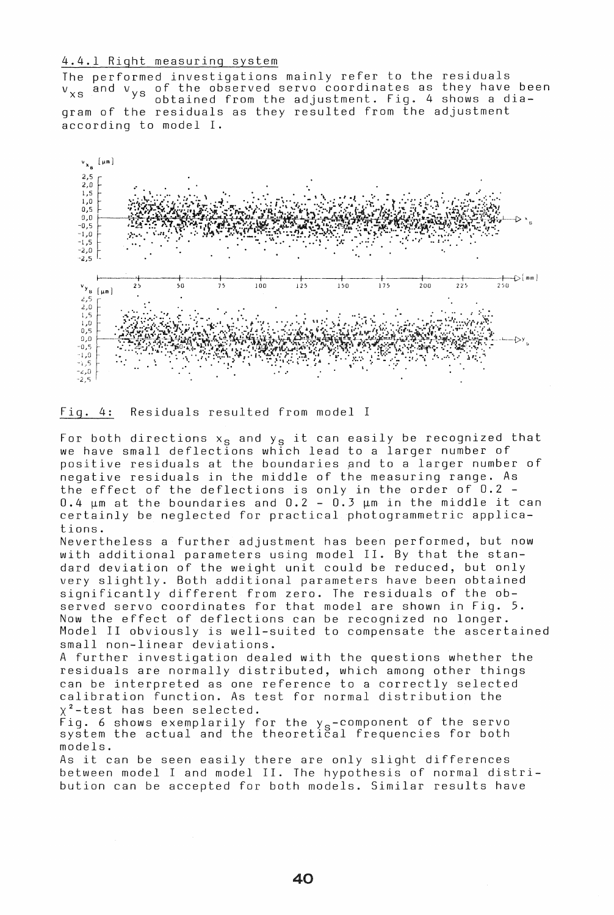### 4.4.1 Right measuring system

The performed investigations mainly refer to the residuals who performed investigations mainly fortunates as they have been<br>v<sub>xs</sub> and v<sub>ys</sub> of the observed servo coordinates as they have been ys of the observed serve coordinated as they have be gram of the residuals as they resulted from the adjustment according to model I.



Fig. 4: Residuals resulted from model I

For both directions  $x_s$  and  $y_s$  it can easily be recognized that we have small deflections which lead to a larger number of positive residuals at the boundaries and to a larger number of negative residuals in the middle of the measuring range. As the effect of the deflections is only in the order of 0.2 - 0.4  $\mu$ m at the boundaries and 0.2 - 0.3  $\mu$ m in the middle it can certainly be neglected for practical photogrammetric applications.

Nevertheless a further adjustment has been performed, but now with additional parameters using model II. By that the standard deviation of the weight unit could be reduced, but only very slightly. Both additional parameters have been obtained significantly different from zero. The residuals of the observed servo coordinates for that model are shown in Fig. 5. Now the effect of deflections can be recognized no longer. Model II obviously is well-suited to compensate the ascertained small non-linear deviations.

A further investigation dealed with the questions whether the residuals are normally distributed, which among other things can be interpreted as one reference to a correctly selected calibration function. As test for normal distribution the  $x^2$ -test has been selected.

 $\widetilde{F}$ ig. 6 shows exemplarily for the y $_{\rm s}$ -component of the servo rig. o shows exemplailly for the ys-component of the serve models.

As it can be seen easily there are only slight differences between model I and model II. The hypothesis of normal distribution can be accepted for both models. Similar results have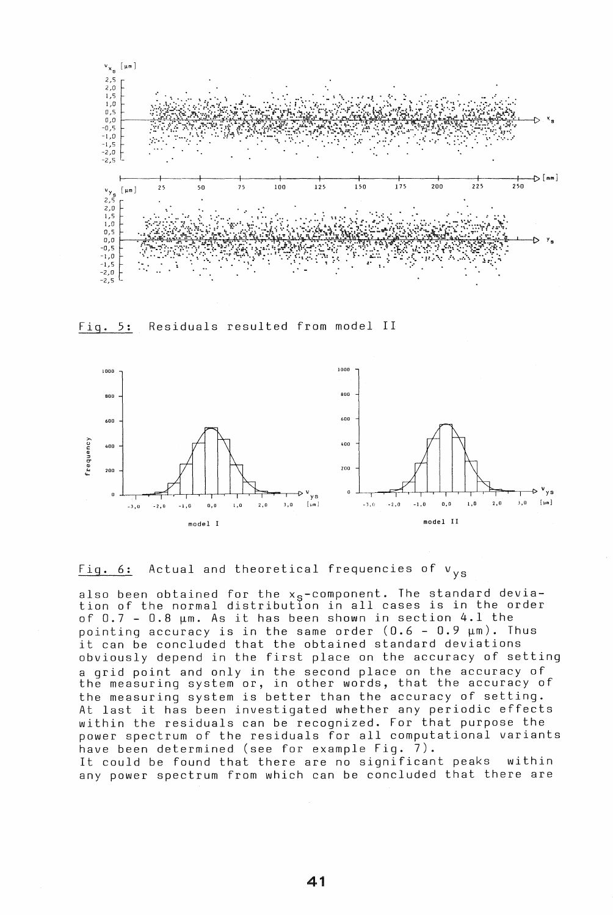

Fig. 5: Residuals resulted from model II





also been obtained for the  $x_{\vartheta}$ -component. The standard deviation of the normal distributlon in all cases is in the order of  $0.7$  -  $0.8$   $\mu$ m. As it has been shown in section 4.1 the pointing accuracy is in the same order  $(0.6 - 0.9 ~\mu m)$ . Thus it can be concluded that the obtained standard deviations obviously depend in the first place on the accuracy of setting a grid point and only in the second place on the accuracy of the measuring system or, in other words, that the accuracy of the measuring system is better than the accuracy of setting. At last it has been investigated whether any periodic effects within the residuals can be recognized. For that purpose the power spectrum of the residuals for all computational variants have been determined (see for example Fig. 7). It could be found that there are no significant peaks within

any power spectrum from which can be concluded that there are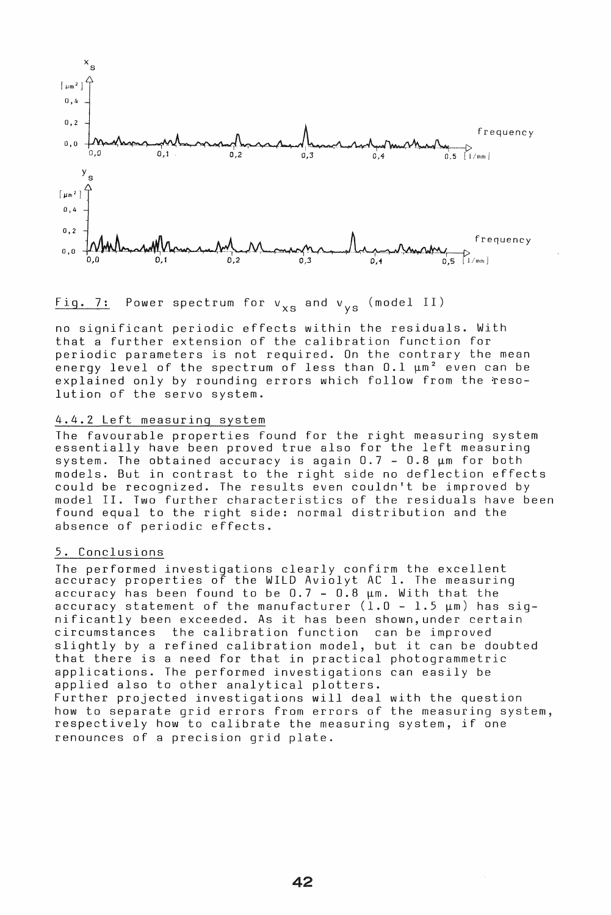

Fig. 7: Power spectrum for  $v_{\text{xs}}$  and  $v_{\text{ys}}$  (model II)

no significant periodic effects within the residuals. With that a further extension of the calibration function for periodic parameters is not required. On the contrary the mean energy level of the spectrum of less than  $0.1 ~\mu m^2$  even can be explained only by rounding errors which follow from the resolution of the servo system.

# 4.4.2 Left measuring system

The favourable properties found for the right measuring system essentially have been proved true also for the left measuring system. The obtained accuracy is again  $0.7 - 0.8$   $\mu$ m for both models. But in contrast to the right side no deflection effects could be recognized. The results even couldn't be improved by model II. Two further characteristics of the residuals have been found equal to the right side: normal distribution and the absence of periodic effects.

### 5. Conclusions

The performed investigations clearly confirm the excellent accuracy properties of the WILD Aviolyt AC 1. The measuring accuracy has been found to be  $0.7 - 0.8$   $\mu$ m. With that the accuracy statement of the manufacturer  $(1.0 - 1.5 ~\mu m)$  has significantly been exceeded. As it has been shown,under certain circumstances the calibration function can be improved slightly by a refined calibration model, but it can be doubted that there is a need for that in practical photogrammetric applications. The performed investigations can easily be applied also to other analytical plotters. Further projected investigations will deal with the question how to separate grid errors from errors of the measuring system, respectively how to calibrate the measuring system, if one renounces of a precision grid plate.